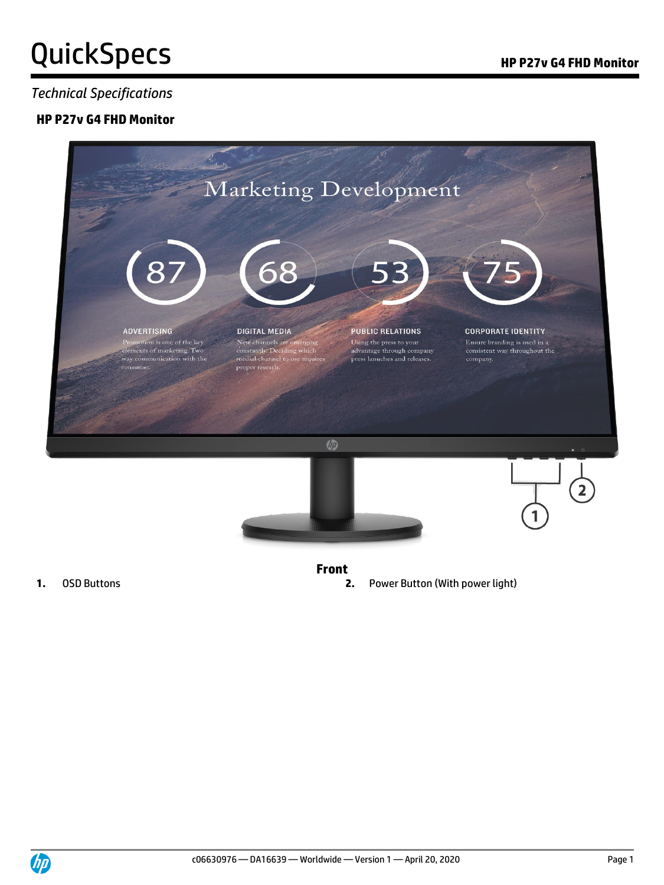#### *Technical Specifications*

#### **HP P27v G4 FHD Monitor**



- **Front**
- **1.** OSD Buttons **2.** Power Button (With power light)

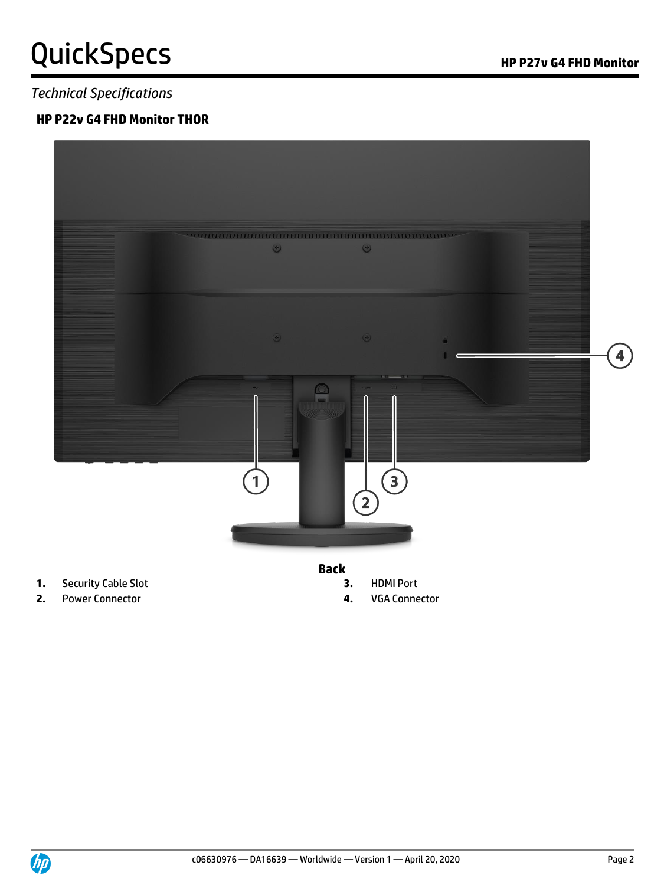### *Technical Specifications*

### **HP P22v G4 FHD Monitor THOR**



- **1.** Security Cable Slot **3.** HDMI Port
- **2.** Power Connector **4.** VGA Connector
- -
	-

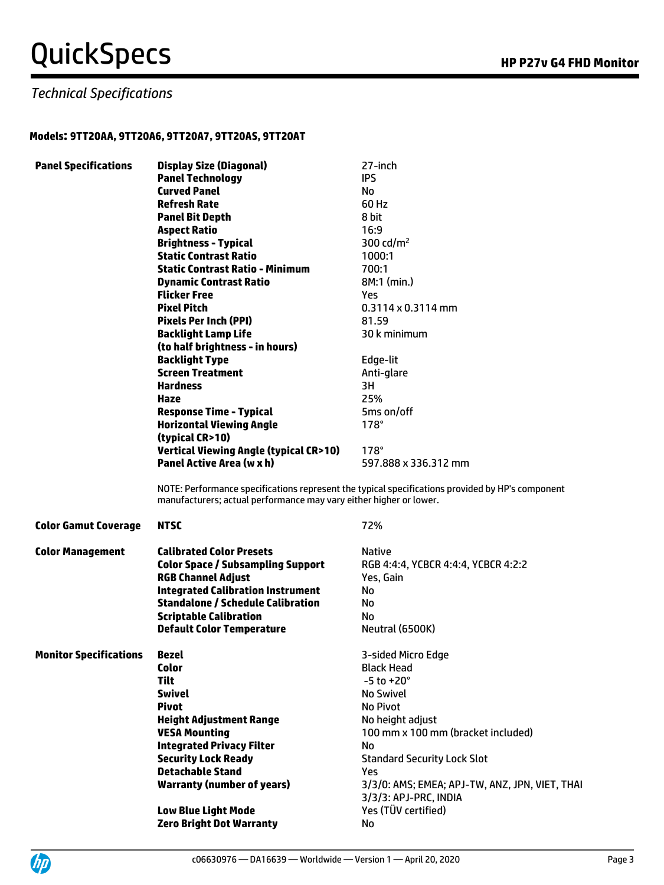### *Technical Specifications*

#### **Models: 9TT20AA, 9TT20A6, 9TT20A7, 9TT20AS, 9TT20AT**

| <b>Panel Specifications</b>   | <b>Display Size (Diagonal)</b>                                     | 27-inch                                                                                          |
|-------------------------------|--------------------------------------------------------------------|--------------------------------------------------------------------------------------------------|
|                               | <b>Panel Technology</b>                                            | <b>IPS</b>                                                                                       |
|                               | <b>Curved Panel</b>                                                | No                                                                                               |
|                               | <b>Refresh Rate</b>                                                | 60 Hz                                                                                            |
|                               | <b>Panel Bit Depth</b>                                             | 8 bit                                                                                            |
|                               | <b>Aspect Ratio</b>                                                | 16:9                                                                                             |
|                               | <b>Brightness - Typical</b>                                        | 300 cd/m <sup>2</sup>                                                                            |
|                               | <b>Static Contrast Ratio</b>                                       | 1000:1                                                                                           |
|                               | <b>Static Contrast Ratio - Minimum</b>                             | 700:1                                                                                            |
|                               | <b>Dynamic Contrast Ratio</b>                                      | 8M:1 (min.)                                                                                      |
|                               | Flicker Free                                                       | Yes.                                                                                             |
|                               | <b>Pixel Pitch</b>                                                 | $0.3114 \times 0.3114$ mm                                                                        |
|                               | <b>Pixels Per Inch (PPI)</b>                                       | 81.59                                                                                            |
|                               | <b>Backlight Lamp Life</b>                                         | 30 k minimum                                                                                     |
|                               | (to half brightness - in hours)                                    |                                                                                                  |
|                               | <b>Backlight Type</b>                                              | Edge-lit                                                                                         |
|                               | <b>Screen Treatment</b>                                            | Anti-glare                                                                                       |
|                               | <b>Hardness</b>                                                    | 3H                                                                                               |
|                               |                                                                    |                                                                                                  |
|                               | Haze                                                               | 25%                                                                                              |
|                               | <b>Response Time - Typical</b>                                     | 5ms on/off                                                                                       |
|                               | <b>Horizontal Viewing Angle</b>                                    | $178^\circ$                                                                                      |
|                               | (typical CR>10)                                                    |                                                                                                  |
|                               | <b>Vertical Viewing Angle (typical CR&gt;10)</b>                   | $178^\circ$                                                                                      |
|                               | <b>Panel Active Area (w x h)</b>                                   | 597.888 x 336.312 mm                                                                             |
|                               | manufacturers; actual performance may vary either higher or lower. | NOTE: Performance specifications represent the typical specifications provided by HP's component |
| <b>Color Gamut Coverage</b>   | <b>NTSC</b>                                                        | 72%                                                                                              |
| <b>Color Management</b>       | <b>Calibrated Color Presets</b>                                    | <b>Native</b>                                                                                    |
|                               | <b>Color Space / Subsampling Support</b>                           | RGB 4:4:4, YCBCR 4:4:4, YCBCR 4:2:2                                                              |
|                               | <b>RGB Channel Adjust</b>                                          | Yes, Gain                                                                                        |
|                               | <b>Integrated Calibration Instrument</b>                           | No                                                                                               |
|                               | <b>Standalone / Schedule Calibration</b>                           | No                                                                                               |
|                               | <b>Scriptable Calibration</b>                                      | No                                                                                               |
|                               | <b>Default Color Temperature</b>                                   | Neutral (6500K)                                                                                  |
|                               |                                                                    |                                                                                                  |
| <b>Monitor Specifications</b> | Bezel                                                              | 3-sided Micro Edge                                                                               |
|                               | Color                                                              | <b>Black Head</b>                                                                                |
|                               | <b>Tilt</b>                                                        | $-5$ to $+20^{\circ}$                                                                            |
|                               | <b>Swivel</b>                                                      | No Swivel                                                                                        |
|                               | <b>Pivot</b>                                                       | No Pivot                                                                                         |
|                               | <b>Height Adjustment Range</b>                                     | No height adjust                                                                                 |
|                               | <b>VESA Mounting</b>                                               | 100 mm x 100 mm (bracket included)                                                               |
|                               | <b>Integrated Privacy Filter</b>                                   | No                                                                                               |
|                               | <b>Security Lock Ready</b>                                         | <b>Standard Security Lock Slot</b>                                                               |
|                               | <b>Detachable Stand</b>                                            | Yes                                                                                              |
|                               | <b>Warranty (number of years)</b>                                  | 3/3/0: AMS; EMEA; APJ-TW, ANZ, JPN, VIET, THAI                                                   |
|                               |                                                                    | 3/3/3: APJ-PRC, INDIA                                                                            |
|                               | <b>Low Blue Light Mode</b>                                         | Yes (TÜV certified)                                                                              |
|                               | <b>Zero Bright Dot Warranty</b>                                    | No                                                                                               |
|                               |                                                                    |                                                                                                  |

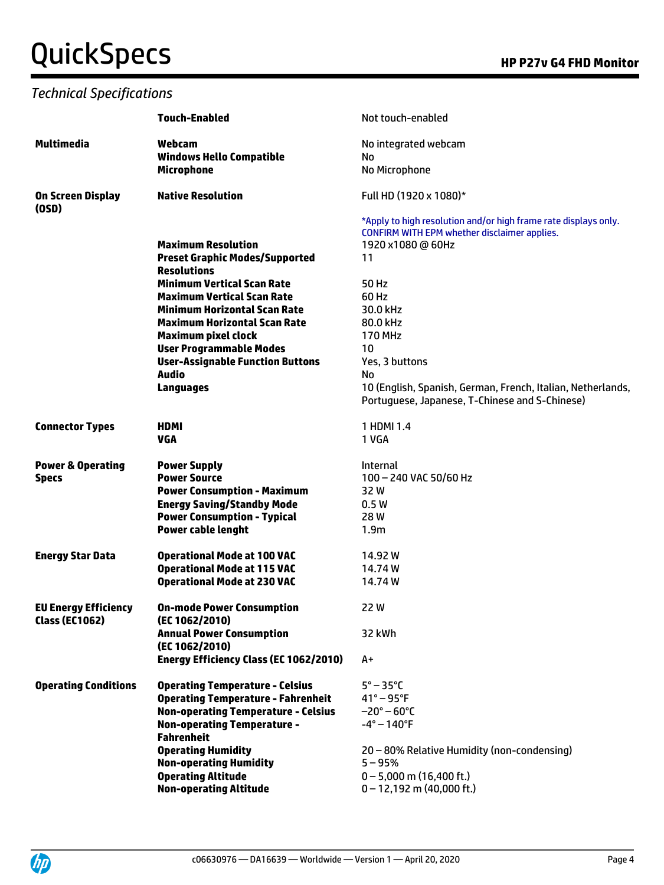### *Technical Specifications*

|                              | <b>Touch-Enabled</b>                       | Not touch-enabled                                                                                               |
|------------------------------|--------------------------------------------|-----------------------------------------------------------------------------------------------------------------|
| <b>Multimedia</b>            | Webcam<br><b>Windows Hello Compatible</b>  | No integrated webcam<br>No                                                                                      |
|                              | <b>Microphone</b>                          | No Microphone                                                                                                   |
| On Screen Display<br>(OSD)   | <b>Native Resolution</b>                   | Full HD (1920 x 1080)*                                                                                          |
|                              |                                            | *Apply to high resolution and/or high frame rate displays only.<br>CONFIRM WITH EPM whether disclaimer applies. |
|                              | <b>Maximum Resolution</b>                  | 1920 x1080 @ 60Hz                                                                                               |
|                              | <b>Preset Graphic Modes/Supported</b>      | 11                                                                                                              |
|                              | <b>Resolutions</b>                         |                                                                                                                 |
|                              | <b>Minimum Vertical Scan Rate</b>          | 50 Hz                                                                                                           |
|                              | <b>Maximum Vertical Scan Rate</b>          | 60 Hz                                                                                                           |
|                              | <b>Minimum Horizontal Scan Rate</b>        | 30.0 kHz                                                                                                        |
|                              | <b>Maximum Horizontal Scan Rate</b>        | 80.0 kHz                                                                                                        |
|                              | <b>Maximum pixel clock</b>                 | <b>170 MHz</b>                                                                                                  |
|                              | <b>User Programmable Modes</b>             | 10                                                                                                              |
|                              | <b>User-Assignable Function Buttons</b>    | Yes, 3 buttons                                                                                                  |
|                              | <b>Audio</b>                               | No                                                                                                              |
|                              | <b>Languages</b>                           | 10 (English, Spanish, German, French, Italian, Netherlands,                                                     |
|                              |                                            | Portuguese, Japanese, T-Chinese and S-Chinese)                                                                  |
|                              |                                            |                                                                                                                 |
| <b>Connector Types</b>       | <b>HDMI</b>                                | 1 HDMI 1.4                                                                                                      |
|                              | <b>VGA</b>                                 | 1 VGA                                                                                                           |
|                              |                                            |                                                                                                                 |
| <b>Power &amp; Operating</b> | <b>Power Supply</b>                        | <b>Internal</b>                                                                                                 |
| <b>Specs</b>                 | <b>Power Source</b>                        | 100 - 240 VAC 50/60 Hz                                                                                          |
|                              | <b>Power Consumption - Maximum</b>         | 32 W                                                                                                            |
|                              | <b>Energy Saving/Standby Mode</b>          | 0.5W                                                                                                            |
|                              | <b>Power Consumption - Typical</b>         | 28W                                                                                                             |
|                              | <b>Power cable lenght</b>                  | 1.9 <sub>m</sub>                                                                                                |
| <b>Energy Star Data</b>      | <b>Operational Mode at 100 VAC</b>         | 14.92 W                                                                                                         |
|                              | <b>Operational Mode at 115 VAC</b>         | 14.74 W                                                                                                         |
|                              | <b>Operational Mode at 230 VAC</b>         | 14.74 W                                                                                                         |
| <b>EU Energy Efficiency</b>  | <b>On-mode Power Consumption</b>           | 22W                                                                                                             |
| <b>Class (EC1062)</b>        | (EC 1062/2010)                             |                                                                                                                 |
|                              | <b>Annual Power Consumption</b>            | 32 kWh                                                                                                          |
|                              | (EC 1062/2010)                             |                                                                                                                 |
|                              | Energy Efficiency Class (EC 1062/2010)     | $A+$                                                                                                            |
|                              |                                            |                                                                                                                 |
| <b>Operating Conditions</b>  | <b>Operating Temperature - Celsius</b>     | $5^\circ - 35^\circ C$                                                                                          |
|                              | <b>Operating Temperature - Fahrenheit</b>  | $41^\circ - 95^\circ F$                                                                                         |
|                              | <b>Non-operating Temperature - Celsius</b> | $-20^{\circ} - 60^{\circ}$ C                                                                                    |
|                              | <b>Non-operating Temperature -</b>         | $-4^\circ - 140^\circ F$                                                                                        |
|                              | <b>Fahrenheit</b>                          |                                                                                                                 |
|                              | <b>Operating Humidity</b>                  | 20 - 80% Relative Humidity (non-condensing)                                                                     |
|                              | <b>Non-operating Humidity</b>              | $5 - 95%$                                                                                                       |
|                              | <b>Operating Altitude</b>                  | $0 - 5,000$ m (16,400 ft.)                                                                                      |
|                              | <b>Non-operating Altitude</b>              | $0 - 12,192$ m (40,000 ft.)                                                                                     |

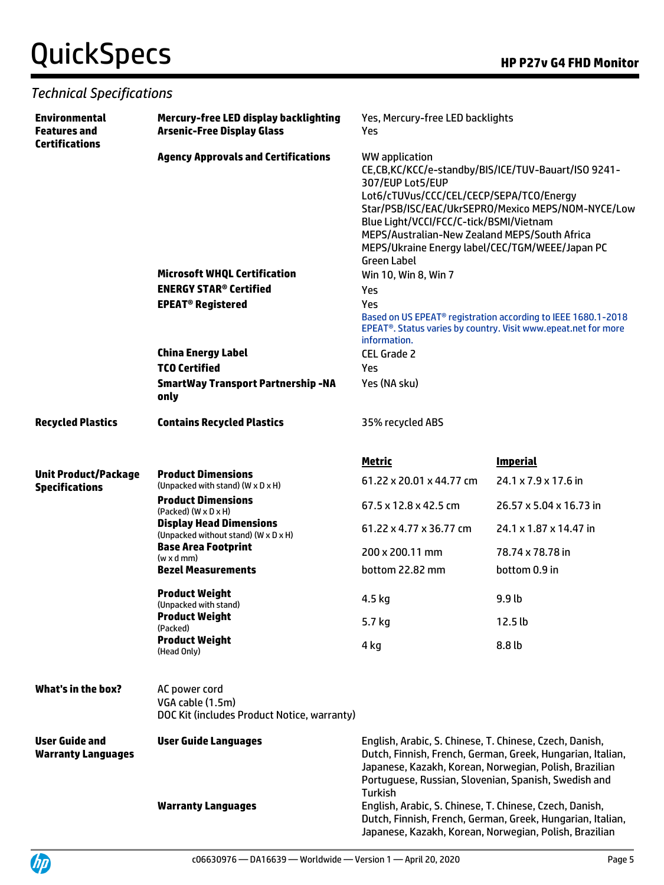| <b>Technical Specifications</b>                                      |                                                                                  |                                                                                                                                                                                                                                                                                                                                                                  |                         |  |  |
|----------------------------------------------------------------------|----------------------------------------------------------------------------------|------------------------------------------------------------------------------------------------------------------------------------------------------------------------------------------------------------------------------------------------------------------------------------------------------------------------------------------------------------------|-------------------------|--|--|
| <b>Environmental</b><br><b>Features and</b><br><b>Certifications</b> | Mercury-free LED display backlighting<br><b>Arsenic-Free Display Glass</b>       | Yes, Mercury-free LED backlights<br>Yes                                                                                                                                                                                                                                                                                                                          |                         |  |  |
|                                                                      | <b>Agency Approvals and Certifications</b>                                       | WW application<br>CE,CB,KC/KCC/e-standby/BIS/ICE/TUV-Bauart/ISO 9241-<br>307/EUP Lot5/EUP<br>Lot6/cTUVus/CCC/CEL/CECP/SEPA/TCO/Energy<br>Star/PSB/ISC/EAC/UkrSEPRO/Mexico MEPS/NOM-NYCE/Low<br>Blue Light/VCCI/FCC/C-tick/BSMI/Vietnam<br>MEPS/Australian-New Zealand MEPS/South Africa<br>MEPS/Ukraine Energy label/CEC/TGM/WEEE/Japan PC<br><b>Green Label</b> |                         |  |  |
|                                                                      | <b>Microsoft WHQL Certification</b>                                              | Win 10, Win 8, Win 7                                                                                                                                                                                                                                                                                                                                             |                         |  |  |
|                                                                      | <b>ENERGY STAR<sup>®</sup> Certified</b>                                         | Yes<br>Yes<br>Based on US EPEAT <sup>®</sup> registration according to IEEE 1680.1-2018<br>EPEAT <sup>®</sup> . Status varies by country. Visit www.epeat.net for more<br>information.                                                                                                                                                                           |                         |  |  |
|                                                                      | <b>EPEAT<sup>®</sup> Registered</b>                                              |                                                                                                                                                                                                                                                                                                                                                                  |                         |  |  |
|                                                                      | <b>China Energy Label</b>                                                        | <b>CEL Grade 2</b>                                                                                                                                                                                                                                                                                                                                               |                         |  |  |
|                                                                      | <b>TCO Certified</b>                                                             | Yes                                                                                                                                                                                                                                                                                                                                                              |                         |  |  |
|                                                                      | <b>SmartWay Transport Partnership-NA</b><br>only                                 | Yes (NA sku)                                                                                                                                                                                                                                                                                                                                                     |                         |  |  |
| <b>Recycled Plastics</b>                                             | <b>Contains Recycled Plastics</b>                                                | 35% recycled ABS                                                                                                                                                                                                                                                                                                                                                 |                         |  |  |
|                                                                      |                                                                                  | Metric                                                                                                                                                                                                                                                                                                                                                           | <b>Imperial</b>         |  |  |
| <b>Unit Product/Package</b><br><b>Specifications</b>                 | <b>Product Dimensions</b><br>(Unpacked with stand) (W x D x H)                   | 61.22 x 20.01 x 44.77 cm                                                                                                                                                                                                                                                                                                                                         | 24.1 x 7.9 x 17.6 in    |  |  |
|                                                                      | <b>Product Dimensions</b><br>$(Packed)$ $(W \times D \times H)$                  | 67.5 x 12.8 x 42.5 cm                                                                                                                                                                                                                                                                                                                                            | 26.57 x 5.04 x 16.73 in |  |  |
|                                                                      | <b>Display Head Dimensions</b><br>(Unpacked without stand) (W x D x H)           | 61.22 x 4.77 x 36.77 cm                                                                                                                                                                                                                                                                                                                                          | 24.1 x 1.87 x 14.47 in  |  |  |
|                                                                      | <b>Base Area Footprint</b><br>$(w \times d \,mm)$                                | 200 x 200.11 mm                                                                                                                                                                                                                                                                                                                                                  | 78.74 x 78.78 in        |  |  |
|                                                                      | <b>Bezel Measurements</b>                                                        | bottom 22.82 mm                                                                                                                                                                                                                                                                                                                                                  | bottom 0.9 in           |  |  |
|                                                                      | <b>Product Weight</b><br>(Unpacked with stand)                                   | 4.5 kg                                                                                                                                                                                                                                                                                                                                                           | 9.9 lb                  |  |  |
|                                                                      | <b>Product Weight</b><br>(Packed)                                                | 5.7 kg                                                                                                                                                                                                                                                                                                                                                           | 12.5 <sub>lb</sub>      |  |  |
|                                                                      | <b>Product Weight</b><br>(Head Only)                                             | 4 kg                                                                                                                                                                                                                                                                                                                                                             | 8.8 lb                  |  |  |
| What's in the box?                                                   | AC power cord<br>VGA cable (1.5m)<br>DOC Kit (includes Product Notice, warranty) |                                                                                                                                                                                                                                                                                                                                                                  |                         |  |  |
| <b>User Guide and</b><br><b>Warranty Languages</b>                   | <b>User Guide Languages</b>                                                      | English, Arabic, S. Chinese, T. Chinese, Czech, Danish,<br>Dutch, Finnish, French, German, Greek, Hungarian, Italian,<br>Japanese, Kazakh, Korean, Norwegian, Polish, Brazilian<br>Portuguese, Russian, Slovenian, Spanish, Swedish and<br><b>Turkish</b>                                                                                                        |                         |  |  |
|                                                                      | <b>Warranty Languages</b>                                                        | English, Arabic, S. Chinese, T. Chinese, Czech, Danish,<br>Dutch, Finnish, French, German, Greek, Hungarian, Italian,                                                                                                                                                                                                                                            |                         |  |  |

UP

Japanese, Kazakh, Korean, Norwegian, Polish, Brazilian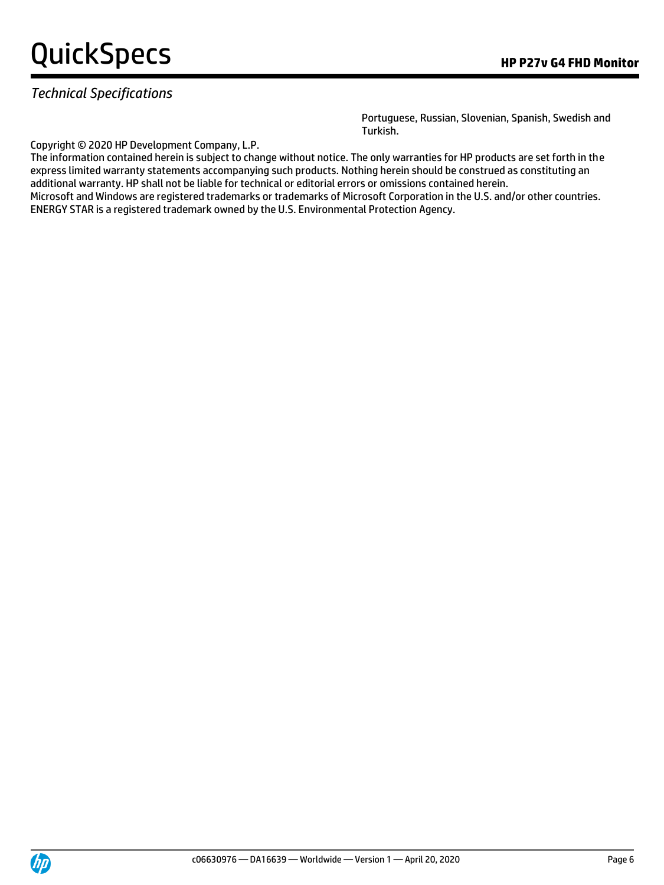### *Technical Specifications*

Portuguese, Russian, Slovenian, Spanish, Swedish and Turkish.

Copyright © 2020 HP Development Company, L.P.

The information contained herein is subject to change without notice. The only warranties for HP products are set forth in the express limited warranty statements accompanying such products. Nothing herein should be construed as constituting an additional warranty. HP shall not be liable for technical or editorial errors or omissions contained herein. Microsoft and Windows are registered trademarks or trademarks of Microsoft Corporation in the U.S. and/or other countries.

ENERGY STAR is a registered trademark owned by the U.S. Environmental Protection Agency.